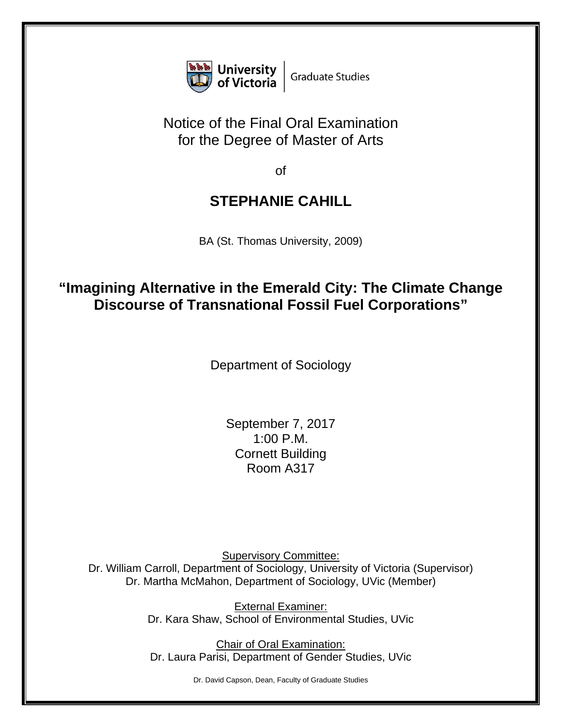

## Notice of the Final Oral Examination for the Degree of Master of Arts

of

## **STEPHANIE CAHILL**

BA (St. Thomas University, 2009)

## **"Imagining Alternative in the Emerald City: The Climate Change Discourse of Transnational Fossil Fuel Corporations"**

Department of Sociology

September 7, 2017 1:00 P.M. Cornett Building Room A317

Supervisory Committee: Dr. William Carroll, Department of Sociology, University of Victoria (Supervisor) Dr. Martha McMahon, Department of Sociology, UVic (Member)

> External Examiner: Dr. Kara Shaw, School of Environmental Studies, UVic

Chair of Oral Examination: Dr. Laura Parisi, Department of Gender Studies, UVic

Dr. David Capson, Dean, Faculty of Graduate Studies